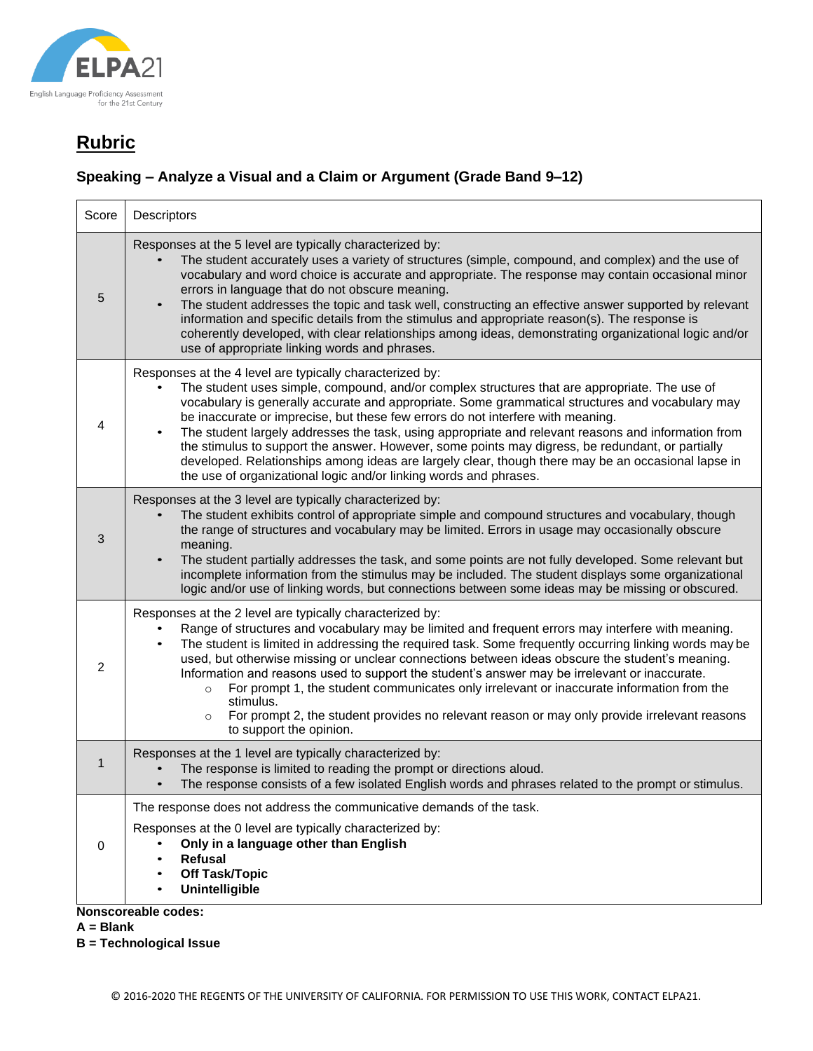

### **Speaking – Analyze a Visual and a Claim or Argument (Grade Band 9–12)**

| Score        | Descriptors                                                                                                                                                                                                                                                                                                                                                                                                                                                                                                                                                                                                                                                                                                                            |
|--------------|----------------------------------------------------------------------------------------------------------------------------------------------------------------------------------------------------------------------------------------------------------------------------------------------------------------------------------------------------------------------------------------------------------------------------------------------------------------------------------------------------------------------------------------------------------------------------------------------------------------------------------------------------------------------------------------------------------------------------------------|
| 5            | Responses at the 5 level are typically characterized by:<br>The student accurately uses a variety of structures (simple, compound, and complex) and the use of<br>vocabulary and word choice is accurate and appropriate. The response may contain occasional minor<br>errors in language that do not obscure meaning.<br>The student addresses the topic and task well, constructing an effective answer supported by relevant<br>information and specific details from the stimulus and appropriate reason(s). The response is<br>coherently developed, with clear relationships among ideas, demonstrating organizational logic and/or<br>use of appropriate linking words and phrases.                                             |
| 4            | Responses at the 4 level are typically characterized by:<br>The student uses simple, compound, and/or complex structures that are appropriate. The use of<br>vocabulary is generally accurate and appropriate. Some grammatical structures and vocabulary may<br>be inaccurate or imprecise, but these few errors do not interfere with meaning.<br>The student largely addresses the task, using appropriate and relevant reasons and information from<br>the stimulus to support the answer. However, some points may digress, be redundant, or partially<br>developed. Relationships among ideas are largely clear, though there may be an occasional lapse in<br>the use of organizational logic and/or linking words and phrases. |
| 3            | Responses at the 3 level are typically characterized by:<br>The student exhibits control of appropriate simple and compound structures and vocabulary, though<br>the range of structures and vocabulary may be limited. Errors in usage may occasionally obscure<br>meaning.<br>The student partially addresses the task, and some points are not fully developed. Some relevant but<br>$\bullet$<br>incomplete information from the stimulus may be included. The student displays some organizational<br>logic and/or use of linking words, but connections between some ideas may be missing or obscured.                                                                                                                           |
| 2            | Responses at the 2 level are typically characterized by:<br>Range of structures and vocabulary may be limited and frequent errors may interfere with meaning.<br>The student is limited in addressing the required task. Some frequently occurring linking words may be<br>used, but otherwise missing or unclear connections between ideas obscure the student's meaning.<br>Information and reasons used to support the student's answer may be irrelevant or inaccurate.<br>For prompt 1, the student communicates only irrelevant or inaccurate information from the<br>$\circ$<br>stimulus.<br>For prompt 2, the student provides no relevant reason or may only provide irrelevant reasons<br>$\circ$<br>to support the opinion. |
| $\mathbf{1}$ | Responses at the 1 level are typically characterized by:<br>The response is limited to reading the prompt or directions aloud.<br>The response consists of a few isolated English words and phrases related to the prompt or stimulus.                                                                                                                                                                                                                                                                                                                                                                                                                                                                                                 |
| 0            | The response does not address the communicative demands of the task.<br>Responses at the 0 level are typically characterized by:<br>Only in a language other than English<br><b>Refusal</b><br><b>Off Task/Topic</b><br>Unintelligible                                                                                                                                                                                                                                                                                                                                                                                                                                                                                                 |
|              | Nonscoreable codes:                                                                                                                                                                                                                                                                                                                                                                                                                                                                                                                                                                                                                                                                                                                    |

**A = Blank**

**B = Technological Issue**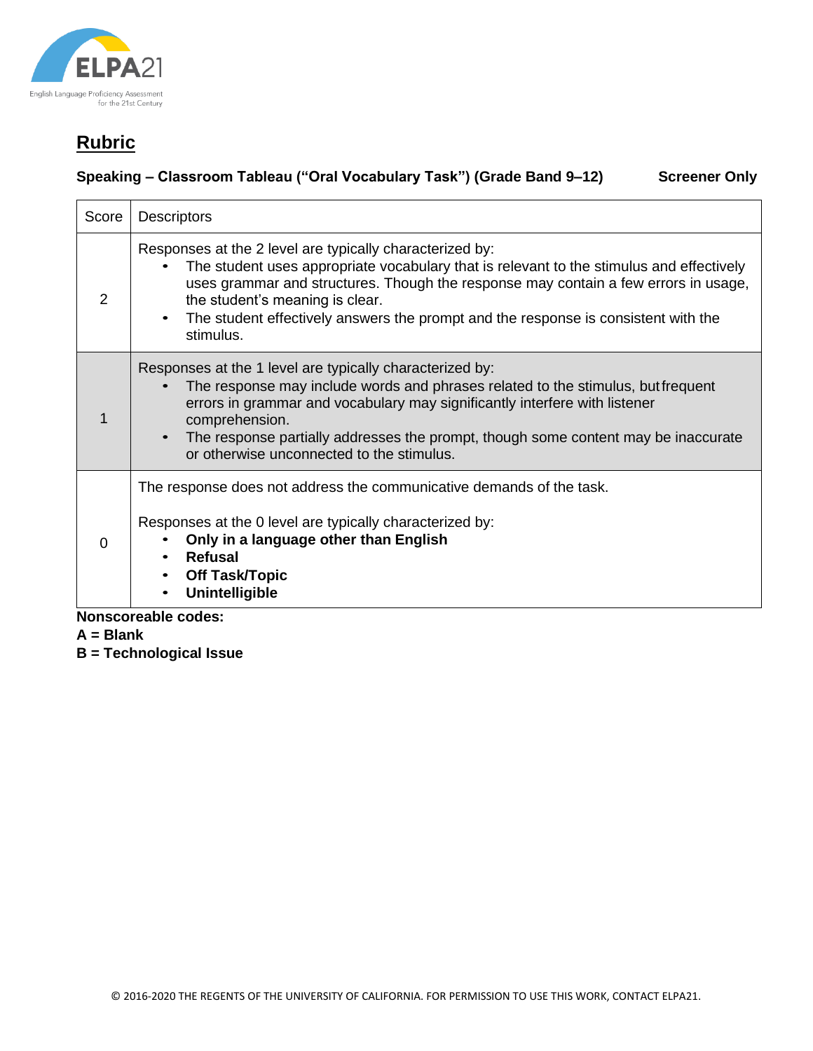

### **Speaking – Classroom Tableau ("Oral Vocabulary Task") (Grade Band 9–12) Screener Only**

| Score                      | <b>Descriptors</b>                                                                                                                                                                                                                                                                                                                                                                             |
|----------------------------|------------------------------------------------------------------------------------------------------------------------------------------------------------------------------------------------------------------------------------------------------------------------------------------------------------------------------------------------------------------------------------------------|
| 2                          | Responses at the 2 level are typically characterized by:<br>The student uses appropriate vocabulary that is relevant to the stimulus and effectively<br>uses grammar and structures. Though the response may contain a few errors in usage,<br>the student's meaning is clear.<br>The student effectively answers the prompt and the response is consistent with the<br>$\bullet$<br>stimulus. |
|                            | Responses at the 1 level are typically characterized by:<br>The response may include words and phrases related to the stimulus, but frequent<br>errors in grammar and vocabulary may significantly interfere with listener<br>comprehension.<br>The response partially addresses the prompt, though some content may be inaccurate<br>$\bullet$<br>or otherwise unconnected to the stimulus.   |
| 0                          | The response does not address the communicative demands of the task.<br>Responses at the 0 level are typically characterized by:<br>Only in a language other than English<br>Refusal<br><b>Off Task/Topic</b><br><b>Unintelligible</b>                                                                                                                                                         |
| <b>Nonscoreable codes:</b> |                                                                                                                                                                                                                                                                                                                                                                                                |

- **A = Blank**
- **B = Technological Issue**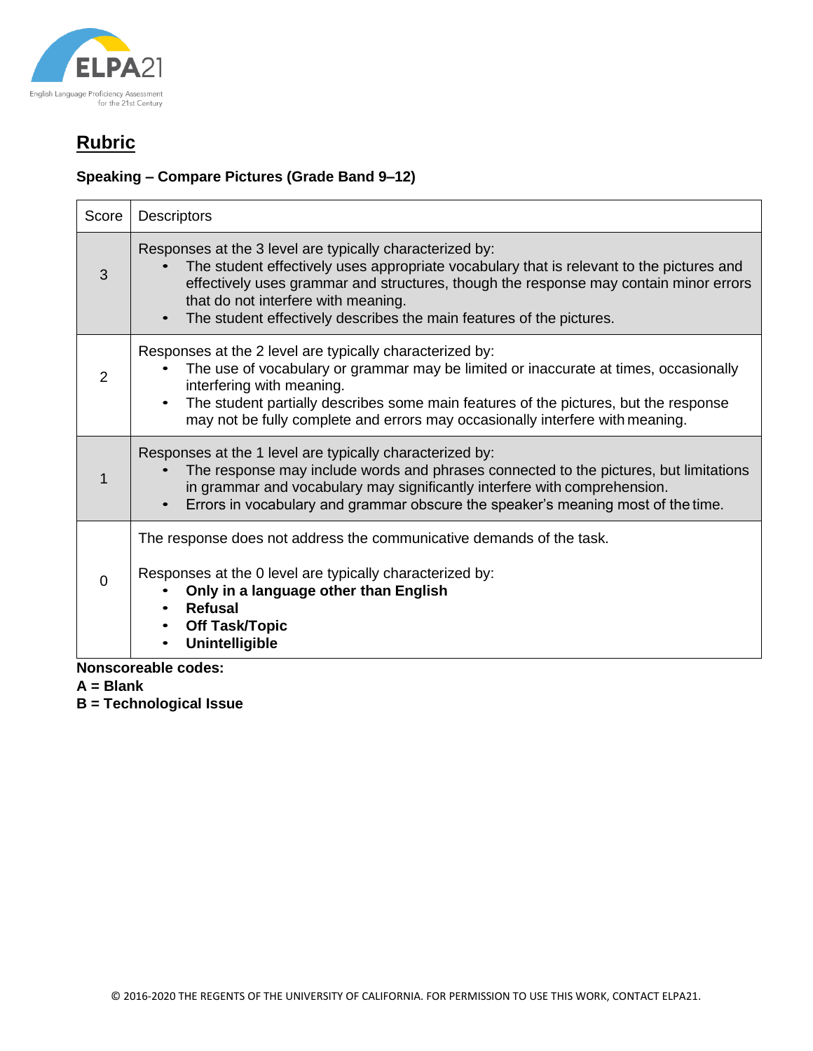

#### **Speaking – Compare Pictures (Grade Band 9–12)**

| Score    | <b>Descriptors</b>                                                                                                                                                                                                                                                                                                                                           |
|----------|--------------------------------------------------------------------------------------------------------------------------------------------------------------------------------------------------------------------------------------------------------------------------------------------------------------------------------------------------------------|
| 3        | Responses at the 3 level are typically characterized by:<br>The student effectively uses appropriate vocabulary that is relevant to the pictures and<br>effectively uses grammar and structures, though the response may contain minor errors<br>that do not interfere with meaning.<br>The student effectively describes the main features of the pictures. |
| 2        | Responses at the 2 level are typically characterized by:<br>The use of vocabulary or grammar may be limited or inaccurate at times, occasionally<br>interfering with meaning.<br>The student partially describes some main features of the pictures, but the response<br>may not be fully complete and errors may occasionally interfere with meaning.       |
|          | Responses at the 1 level are typically characterized by:<br>The response may include words and phrases connected to the pictures, but limitations<br>in grammar and vocabulary may significantly interfere with comprehension.<br>Errors in vocabulary and grammar obscure the speaker's meaning most of the time.                                           |
| $\Omega$ | The response does not address the communicative demands of the task.<br>Responses at the 0 level are typically characterized by:<br>Only in a language other than English<br>Refusal<br><b>Off Task/Topic</b><br><b>Unintelligible</b>                                                                                                                       |

**Nonscoreable codes:**

**A = Blank**

**B = Technological Issue**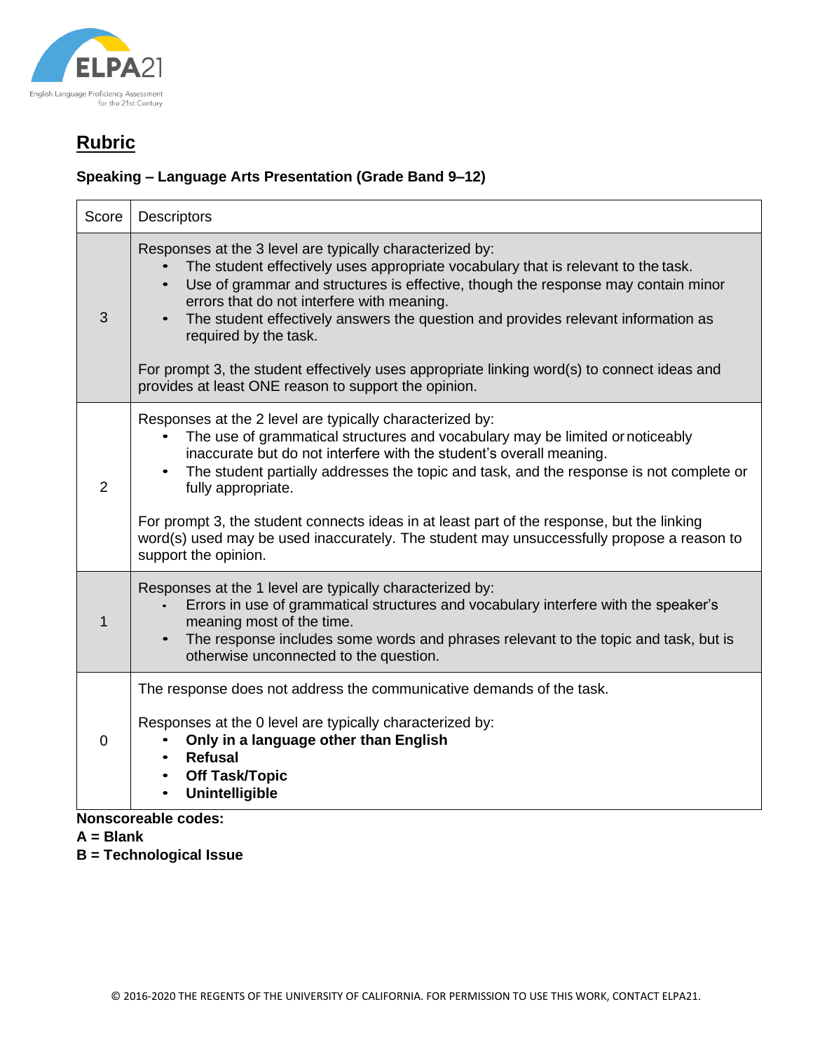

### **Speaking – Language Arts Presentation (Grade Band 9–12)**

| Score          | <b>Descriptors</b>                                                                                                                                                                                                                                                                                                                                                                                                                                                                                                           |
|----------------|------------------------------------------------------------------------------------------------------------------------------------------------------------------------------------------------------------------------------------------------------------------------------------------------------------------------------------------------------------------------------------------------------------------------------------------------------------------------------------------------------------------------------|
| 3              | Responses at the 3 level are typically characterized by:<br>The student effectively uses appropriate vocabulary that is relevant to the task.<br>Use of grammar and structures is effective, though the response may contain minor<br>$\bullet$<br>errors that do not interfere with meaning.<br>The student effectively answers the question and provides relevant information as<br>required by the task.                                                                                                                  |
|                | For prompt 3, the student effectively uses appropriate linking word(s) to connect ideas and<br>provides at least ONE reason to support the opinion.                                                                                                                                                                                                                                                                                                                                                                          |
| 2              | Responses at the 2 level are typically characterized by:<br>The use of grammatical structures and vocabulary may be limited or noticeably<br>inaccurate but do not interfere with the student's overall meaning.<br>The student partially addresses the topic and task, and the response is not complete or<br>fully appropriate.<br>For prompt 3, the student connects ideas in at least part of the response, but the linking<br>word(s) used may be used inaccurately. The student may unsuccessfully propose a reason to |
|                | support the opinion.                                                                                                                                                                                                                                                                                                                                                                                                                                                                                                         |
| $\mathbf 1$    | Responses at the 1 level are typically characterized by:<br>Errors in use of grammatical structures and vocabulary interfere with the speaker's<br>meaning most of the time.<br>The response includes some words and phrases relevant to the topic and task, but is<br>otherwise unconnected to the question.                                                                                                                                                                                                                |
| $\overline{0}$ | The response does not address the communicative demands of the task.<br>Responses at the 0 level are typically characterized by:<br>Only in a language other than English<br><b>Refusal</b><br>$\bullet$<br><b>Off Task/Topic</b><br>Unintelligible                                                                                                                                                                                                                                                                          |

### **Nonscoreable codes:**

- **A = Blank**
- **B = Technological Issue**